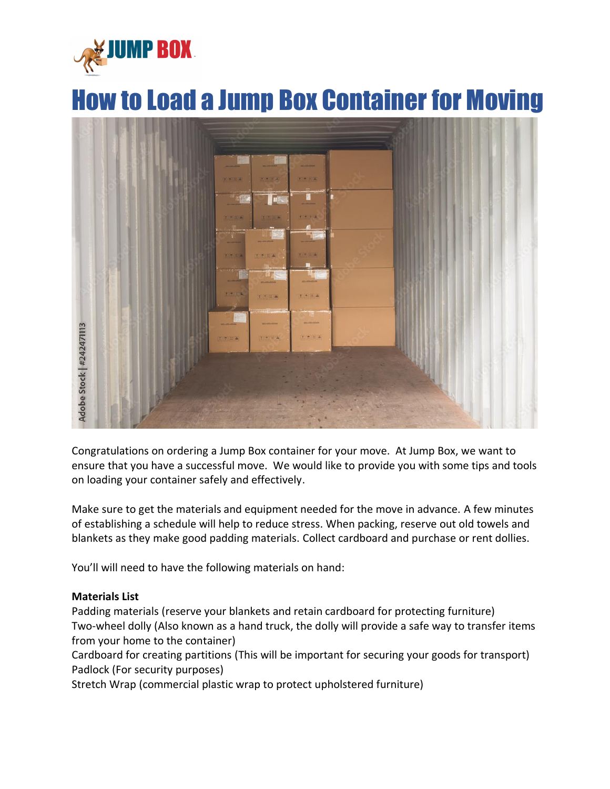

# How to Load a Jump Box Container for Moving



Congratulations on ordering a Jump Box container for your move. At Jump Box, we want to ensure that you have a successful move. We would like to provide you with some tips and tools on loading your container safely and effectively.

Make sure to get the materials and equipment needed for the move in advance. A few minutes of establishing a schedule will help to reduce stress. When packing, reserve out old towels and blankets as they make good padding materials. Collect cardboard and purchase or rent dollies.

You'll will need to have the following materials on hand:

## **Materials List**

Padding materials (reserve your blankets and retain cardboard for protecting furniture) Two-wheel dolly (Also known as a hand truck, the dolly will provide a safe way to transfer items from your home to the container)

Cardboard for creating partitions (This will be important for securing your goods for transport) Padlock (For security purposes)

Stretch Wrap (commercial plastic wrap to protect upholstered furniture)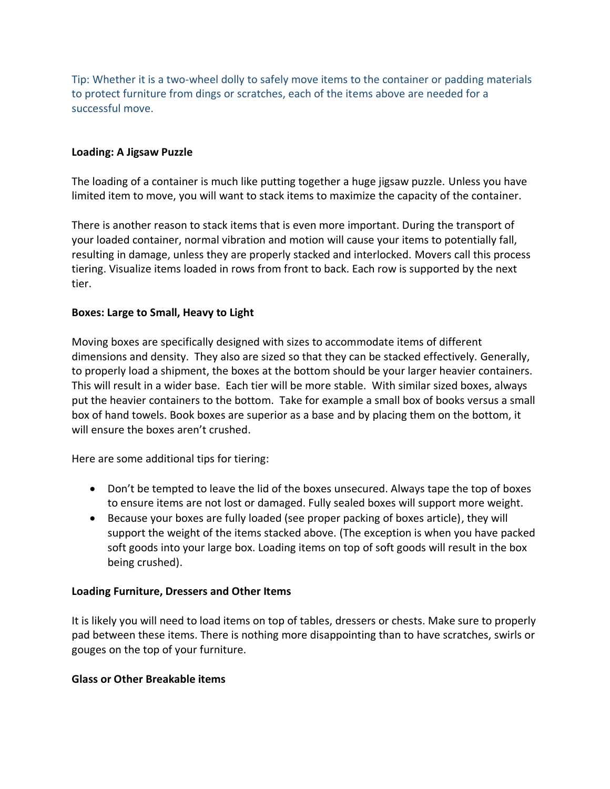Tip: Whether it is a two-wheel dolly to safely move items to the container or padding materials to protect furniture from dings or scratches, each of the items above are needed for a successful move.

#### **Loading: A Jigsaw Puzzle**

The loading of a container is much like putting together a huge jigsaw puzzle. Unless you have limited item to move, you will want to stack items to maximize the capacity of the container.

There is another reason to stack items that is even more important. During the transport of your loaded container, normal vibration and motion will cause your items to potentially fall, resulting in damage, unless they are properly stacked and interlocked. Movers call this process tiering. Visualize items loaded in rows from front to back. Each row is supported by the next tier.

### **Boxes: Large to Small, Heavy to Light**

Moving boxes are specifically designed with sizes to accommodate items of different dimensions and density. They also are sized so that they can be stacked effectively. Generally, to properly load a shipment, the boxes at the bottom should be your larger heavier containers. This will result in a wider base. Each tier will be more stable. With similar sized boxes, always put the heavier containers to the bottom. Take for example a small box of books versus a small box of hand towels. Book boxes are superior as a base and by placing them on the bottom, it will ensure the boxes aren't crushed.

Here are some additional tips for tiering:

- Don't be tempted to leave the lid of the boxes unsecured. Always tape the top of boxes to ensure items are not lost or damaged. Fully sealed boxes will support more weight.
- Because your boxes are fully loaded (see proper packing of boxes article), they will support the weight of the items stacked above. (The exception is when you have packed soft goods into your large box. Loading items on top of soft goods will result in the box being crushed).

#### **Loading Furniture, Dressers and Other Items**

It is likely you will need to load items on top of tables, dressers or chests. Make sure to properly pad between these items. There is nothing more disappointing than to have scratches, swirls or gouges on the top of your furniture.

#### **Glass or Other Breakable items**